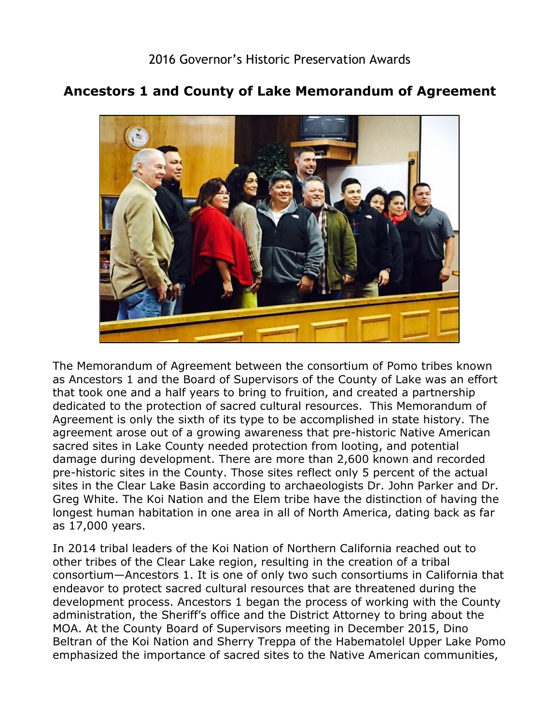## **Ancestors 1 and County of Lake Memorandum of Agreement**



 that took one and a half years to bring to fruition, and created a partnership pre-historic sites in the County. Those sites reflect only 5 percent of the actual The Memorandum of Agreement between the consortium of Pomo tribes known as Ancestors 1 and the Board of Supervisors of the County of Lake was an effort dedicated to the protection of sacred cultural resources. This Memorandum of Agreement is only the sixth of its type to be accomplished in state history. The agreement arose out of a growing awareness that pre-historic Native American sacred sites in Lake County needed protection from looting, and potential damage during development. There are more than 2,600 known and recorded sites in the Clear Lake Basin according to archaeologists Dr. John Parker and Dr. Greg White. The Koi Nation and the Elem tribe have the distinction of having the longest human habitation in one area in all of North America, dating back as far as 17,000 years.

 other tribes of the Clear Lake region, resulting in the creation of a tribal administration, the Sheriff's office and the District Attorney to bring about the In 2014 tribal leaders of the Koi Nation of Northern California reached out to consortium—Ancestors 1. It is one of only two such consortiums in California that endeavor to protect sacred cultural resources that are threatened during the development process. Ancestors 1 began the process of working with the County MOA. At the County Board of Supervisors meeting in December 2015, Dino Beltran of the Koi Nation and Sherry Treppa of the Habematolel Upper Lake Pomo emphasized the importance of sacred sites to the Native American communities,